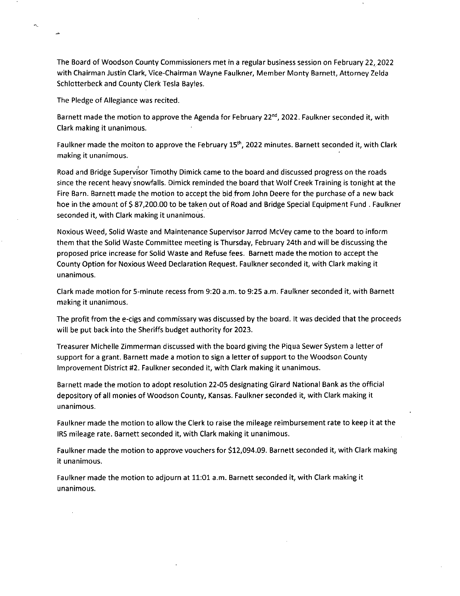The Board of Woodson County Commissioners met in a regular business session on February 22,2022 with Chairman Justin Clark, Vice-Chairman Wayne Faulkner, Member Monty Barnett, Attorney Zelda Schlotterbeck and County Clerk Tesla Bayles.

The Pledge of Allegiance was recited.

ä.

Barnett made the motion to approve the Agenda for February 22<sup>nd</sup>, 2022. Faulkner seconded it, with Clark making it unanimous.

Faulkner made the moiton to approve the February 15<sup>th</sup>, 2022 minutes. Barnett seconded it, with Clark making it unanimous.

Road and Bridge Supervi'sor Timothy Dimick came to the board and discussed progress on the roads since the recent heavy snowfalls. Dimick reminded the board that Wolf Creek Training is tonight at the Fire Barn. Barnett made the motion to accept the bid from John Deere for the purchase of a new back hoe in the amount of \$ 87,200.00 to be taken out of Road and Bridge Special Equipment Fund . Faulkner seconded it, with Clark making it unanimous.

Noxious Weed, Solid Waste and Maintenance Supervisor Jarrod McVey came to the board to inform them that the Solid Waste Committee meeting is Thursday, February 24th and will be discussing the proposed price increase for Solid Waste and Refuse fees. Barnett made the motion to accept the County Option for Noxious Weed Declaration Request. Faulkner seconded it, with Clark making it unanimous.

Clark made motion for 5-minute recess from 9:20 a.m. to 9:25 a.m. Faulkner seconded it, with Barnett making it unanimous.

The profit from the e-cigs and commissary was discussed by the board. It was decided that the proceeds will be put back into the Sheriffs budget authority for 2023.

Treasurer Michelle Zimmerman discussed with the board giving the Piqua Sewer System a letter of support for a grant. Barnett made a motion to sign a letter of support to the Woodson County Improvement District #2. Faulkner seconded it, with Clark making it unanimous.

Barnett made the motion to adopt resolution 22-05 designating Girard National Bank as the official depository of all monies of Woodson County, Kansas. Faulkner seconded it, with Clark making it unanimous.

Faulkner made the motion to allow the Clerk to raise the mileage reimbursement rate to keep it at the IRS mileage rate. Barnett seconded it, with Clark making it unanimous.

Faulkner made the motion to approve vouchers for \$12,094.09. Barnett seconded it, with Clark making it unanimous.

Faulkner made the motion to adjourn at 11:01 a.m. Barnett seconded it, with Clark making it unanimous.